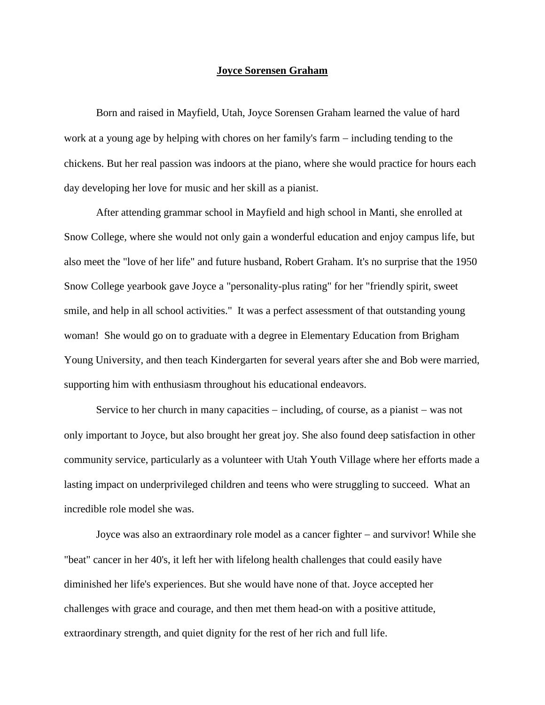## **Joyce Sorensen Graham**

Born and raised in Mayfield, Utah, Joyce Sorensen Graham learned the value of hard work at a young age by helping with chores on her family's farm  $-$  including tending to the chickens. But her real passion was indoors at the piano, where she would practice for hours each day developing her love for music and her skill as a pianist.

After attending grammar school in Mayfield and high school in Manti, she enrolled at Snow College, where she would not only gain a wonderful education and enjoy campus life, but also meet the "love of her life" and future husband, Robert Graham. It's no surprise that the 1950 Snow College yearbook gave Joyce a "personality-plus rating" for her "friendly spirit, sweet smile, and help in all school activities." It was a perfect assessment of that outstanding young woman! She would go on to graduate with a degree in Elementary Education from Brigham Young University, and then teach Kindergarten for several years after she and Bob were married, supporting him with enthusiasm throughout his educational endeavors.

Service to her church in many capacities  $-$  including, of course, as a pianist  $-$  was not only important to Joyce, but also brought her great joy. She also found deep satisfaction in other community service, particularly as a volunteer with Utah Youth Village where her efforts made a lasting impact on underprivileged children and teens who were struggling to succeed. What an incredible role model she was.

Joyce was also an extraordinary role model as a cancer fighter  $-$  and survivor! While she "beat" cancer in her 40's, it left her with lifelong health challenges that could easily have diminished her life's experiences. But she would have none of that. Joyce accepted her challenges with grace and courage, and then met them head-on with a positive attitude, extraordinary strength, and quiet dignity for the rest of her rich and full life.